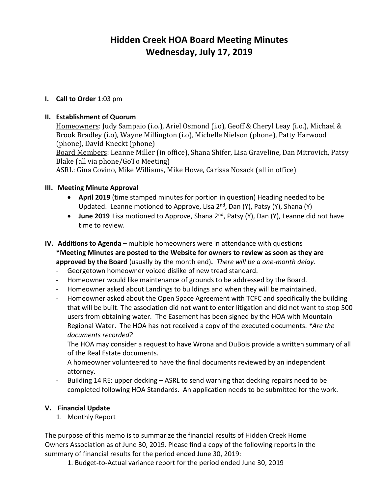# **Hidden Creek HOA Board Meeting Minutes Wednesday, July 17, 2019**

# **I. Call to Order** 1:03 pm

# **II. Establishment of Quorum**

Homeowners: Judy Sampaio (i.o.), Ariel Osmond (i.o), Geoff & Cheryl Leay (i.o.), Michael & Brook Bradley (i.o), Wayne Millington (i.o), Michelle Nielson (phone), Patty Harwood (phone), David Kneckt (phone) Board Members: Leanne Miller (in office), Shana Shifer, Lisa Graveline, Dan Mitrovich, Patsy Blake (all via phone/GoTo Meeting) ASRL: Gina Covino, Mike Williams, Mike Howe, Carissa Nosack (all in office)

### **III. Meeting Minute Approval**

- **April 2019** (time stamped minutes for portion in question) Heading needed to be Updated. Leanne motioned to Approve, Lisa 2<sup>nd</sup>, Dan (Y), Patsy (Y), Shana (Y)
- **June 2019** Lisa motioned to Approve, Shana 2nd, Patsy (Y), Dan (Y), Leanne did not have time to review.
- **IV. Additions to Agenda** multiple homeowners were in attendance with questions **\*Meeting Minutes are posted to the Website for owners to review as soon as they are approved by the Board** (usually by the month end)**.** *There will be a one-month delay.*
	- Georgetown homeowner voiced dislike of new tread standard.
	- Homeowner would like maintenance of grounds to be addressed by the Board.
	- Homeowner asked about Landings to buildings and when they will be maintained.
	- Homeowner asked about the Open Space Agreement with TCFC and specifically the building that will be built. The association did not want to enter litigation and did not want to stop 500 users from obtaining water. The Easement has been signed by the HOA with Mountain Regional Water. The HOA has not received a copy of the executed documents. *\*Are the documents recorded?*

The HOA may consider a request to have Wrona and DuBois provide a written summary of all of the Real Estate documents.

A homeowner volunteered to have the final documents reviewed by an independent attorney.

Building 14 RE: upper decking - ASRL to send warning that decking repairs need to be completed following HOA Standards. An application needs to be submitted for the work.

#### **V. Financial Update**

1. Monthly Report

The purpose of this memo is to summarize the financial results of Hidden Creek Home Owners Association as of June 30, 2019. Please find a copy of the following reports in the summary of financial results for the period ended June 30, 2019:

1. Budget**-**to**-**Actual variance report for the period ended June 30, 2019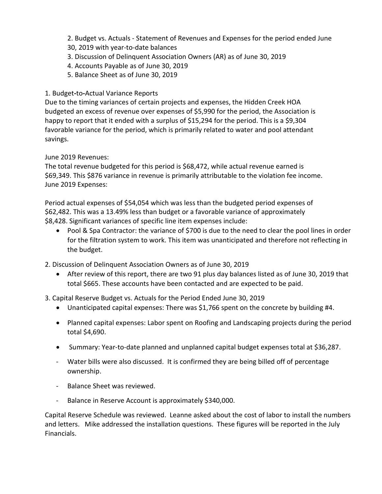- 2. Budget vs. Actuals Statement of Revenues and Expenses for the period ended June
- 30, 2019 with year-to-date balances
- 3. Discussion of Delinquent Association Owners (AR) as of June 30, 2019
- 4. Accounts Payable as of June 30, 2019
- 5. Balance Sheet as of June 30, 2019

# 1. Budget**-**to**-**Actual Variance Reports

Due to the timing variances of certain projects and expenses, the Hidden Creek HOA budgeted an excess of revenue over expenses of \$5,990 for the period, the Association is happy to report that it ended with a surplus of \$15,294 for the period. This is a \$9,304 favorable variance for the period, which is primarily related to water and pool attendant savings.

June 2019 Revenues:

The total revenue budgeted for this period is \$68,472, while actual revenue earned is \$69,349. This \$876 variance in revenue is primarily attributable to the violation fee income. June 2019 Expenses:

Period actual expenses of \$54,054 which was less than the budgeted period expenses of \$62,482. This was a 13.49% less than budget or a favorable variance of approximately \$8,428. Significant variances of specific line item expenses include:

• Pool & Spa Contractor: the variance of \$700 is due to the need to clear the pool lines in order for the filtration system to work. This item was unanticipated and therefore not reflecting in the budget.

2. Discussion of Delinquent Association Owners as of June 30, 2019

• After review of this report, there are two 91 plus day balances listed as of June 30, 2019 that total \$665. These accounts have been contacted and are expected to be paid.

3. Capital Reserve Budget vs. Actuals for the Period Ended June 30, 2019

- Unanticipated capital expenses: There was \$1,766 spent on the concrete by building #4.
- Planned capital expenses: Labor spent on Roofing and Landscaping projects during the period total \$4,690.
- Summary: Year-to-date planned and unplanned capital budget expenses total at \$36,287.
- Water bills were also discussed. It is confirmed they are being billed off of percentage ownership.
- Balance Sheet was reviewed.
- Balance in Reserve Account is approximately \$340,000.

Capital Reserve Schedule was reviewed. Leanne asked about the cost of labor to install the numbers and letters. Mike addressed the installation questions. These figures will be reported in the July Financials.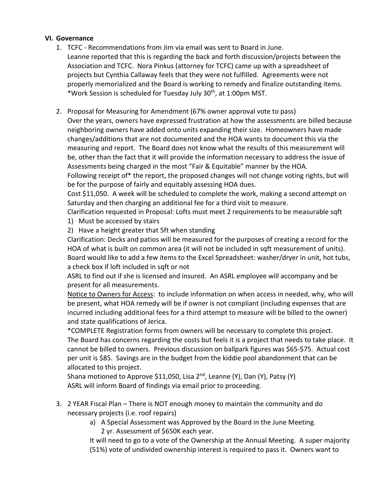### **VI. Governance**

- 1. TCFC Recommendations from Jim via email was sent to Board in June. Leanne reported that this is regarding the back and forth discussion/projects between the Association and TCFC. Nora Pinkus (attorney for TCFC) came up with a spreadsheet of projects but Cynthia Callaway feels that they were not fulfilled. Agreements were not properly memorialized and the Board is working to remedy and finalize outstanding items. \*Work Session is scheduled for Tuesday July 30th, at 1:00pm MST.
- 2. Proposal for Measuring for Amendment (67% owner approval vote to pass) Over the years, owners have expressed frustration at how the assessments are billed because neighboring owners have added onto units expanding their size. Homeowners have made changes/additions that are not documented and the HOA wants to document this via the measuring and report. The Board does not know what the results of this measurement will be, other than the fact that it will provide the information necessary to address the issue of Assessments being charged in the most "Fair & Equitable" manner by the HOA.

Following receipt of\* the report, the proposed changes will not change voting rights, but will be for the purpose of fairly and equitably assessing HOA dues.

Cost \$11,050. A week will be scheduled to complete the work, making a second attempt on Saturday and then charging an additional fee for a third visit to measure.

Clarification requested in Proposal: Lofts must meet 2 requirements to be measurable sqft

- 1) Must be accessed by stairs
- 2) Have a height greater that 5ft when standing

Clarification: Decks and patios will be measured for the purposes of creating a record for the HOA of what is built on common area (it will not be included in sqft measurement of units). Board would like to add a few items to the Excel Spreadsheet: washer/dryer in unit, hot tubs, a check box if loft included in sqft or not

ASRL to find out if she is licensed and insured. An ASRL employee will accompany and be present for all measurements.

Notice to Owners for Access: to include information on when access in needed, why, who will be present, what HOA remedy will be if owner is not compliant (including expenses that are incurred including additional fees for a third attempt to measure will be billed to the owner) and state qualifications of Jerica.

\*COMPLETE Registration forms from owners will be necessary to complete this project. The Board has concerns regarding the costs but feels it is a project that needs to take place. It cannot be billed to owners. Previous discussion on ballpark figures was \$65-\$75. Actual cost per unit is \$85. Savings are in the budget from the kiddie pool abandonment that can be allocated to this project.

Shana motioned to Approve \$11,050, Lisa  $2^{nd}$ , Leanne (Y), Dan (Y), Patsy (Y) ASRL will inform Board of findings via email prior to proceeding.

- 3. 2 YEAR Fiscal Plan There is NOT enough money to maintain the community and do necessary projects (i.e. roof repairs)
	- a) A Special Assessment was Approved by the Board in the June Meeting. 2 yr. Assessment of \$650K each year.

It will need to go to a vote of the Ownership at the Annual Meeting. A super majority (51%) vote of undivided ownership interest is required to pass it. Owners want to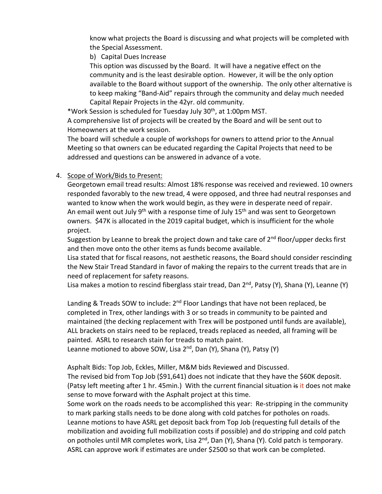know what projects the Board is discussing and what projects will be completed with the Special Assessment.

b) Capital Dues Increase

This option was discussed by the Board. It will have a negative effect on the community and is the least desirable option. However, it will be the only option available to the Board without support of the ownership. The only other alternative is to keep making "Band-Aid" repairs through the community and delay much needed Capital Repair Projects in the 42yr. old community.

\*Work Session is scheduled for Tuesday July 30th, at 1:00pm MST. A comprehensive list of projects will be created by the Board and will be sent out to Homeowners at the work session.

The board will schedule a couple of workshops for owners to attend prior to the Annual Meeting so that owners can be educated regarding the Capital Projects that need to be addressed and questions can be answered in advance of a vote.

# 4. Scope of Work/Bids to Present:

Georgetown email tread results: Almost 18% response was received and reviewed. 10 owners responded favorably to the new tread, 4 were opposed, and three had neutral responses and wanted to know when the work would begin, as they were in desperate need of repair. An email went out July  $9<sup>th</sup>$  with a response time of July 15<sup>th</sup> and was sent to Georgetown owners. \$47K is allocated in the 2019 capital budget, which is insufficient for the whole project.

Suggestion by Leanne to break the project down and take care of 2<sup>nd</sup> floor/upper decks first and then move onto the other items as funds become available.

Lisa stated that for fiscal reasons, not aesthetic reasons, the Board should consider rescinding the New Stair Tread Standard in favor of making the repairs to the current treads that are in need of replacement for safety reasons.

Lisa makes a motion to rescind fiberglass stair tread, Dan 2<sup>nd</sup>, Patsy (Y), Shana (Y), Leanne (Y)

Landing & Treads SOW to include:  $2<sup>nd</sup>$  Floor Landings that have not been replaced, be completed in Trex, other landings with 3 or so treads in community to be painted and maintained (the decking replacement with Trex will be postponed until funds are available), ALL brackets on stairs need to be replaced, treads replaced as needed, all framing will be painted. ASRL to research stain for treads to match paint.

Leanne motioned to above SOW, Lisa 2<sup>nd</sup>, Dan (Y), Shana (Y), Patsy (Y)

Asphalt Bids: Top Job, Eckles, Miller, M&M bids Reviewed and Discussed.

The revised bid from Top Job (\$91,641) does not indicate that they have the \$60K deposit. (Patsy left meeting after 1 hr. 45min.) With the current financial situation  $\frac{1}{2}$  it does not make sense to move forward with the Asphalt project at this time.

Some work on the roads needs to be accomplished this year: Re-stripping in the community to mark parking stalls needs to be done along with cold patches for potholes on roads. Leanne motions to have ASRL get deposit back from Top Job (requesting full details of the mobilization and avoiding full mobilization costs if possible) and do stripping and cold patch on potholes until MR completes work, Lisa 2<sup>nd</sup>, Dan (Y), Shana (Y). Cold patch is temporary. ASRL can approve work if estimates are under \$2500 so that work can be completed.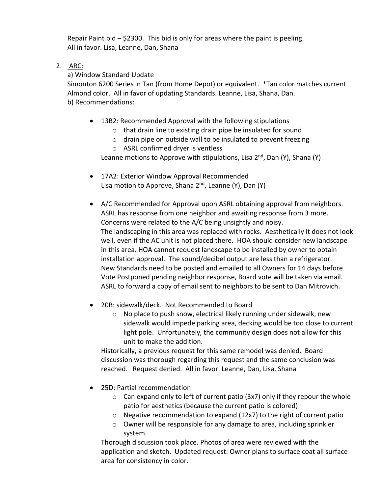Repair Paint bid  $-$  \$2300. This bid is only for areas where the paint is peeling. All in favor. Lisa, Leanne, Dan, Shana

2. ARC:

a) Window Standard Update

Simonton 6200 Series in Tan (from Home Depot) or equivalent. \*Tan color matches current Almond color. All in favor of updating Standards. Leanne, Lisa, Shana, Dan. b) Recommendations:

- 13B2: Recommended Approval with the following stipulations
	- o that drain line to existing drain pipe be insulated for sound
	- o drain pipe on outside wall to be insulated to prevent freezing
	- o ASRL confirmed dryer is ventless

Leanne motions to Approve with stipulations, Lisa  $2<sup>nd</sup>$ , Dan (Y), Shana (Y)

- 17A2: Exterior Window Approval Recommended Lisa motion to Approve, Shana  $2<sup>nd</sup>$ , Leanne (Y), Dan (Y)
- A/C Recommended for Approval upon ASRL obtaining approval from neighbors. ASRL has response from one neighbor and awaiting response from 3 more. Concerns were related to the A/C being unsightly and noisy. The landscaping in this area was replaced with rocks. Aesthetically it does not look well, even if the AC unit is not placed there. HOA should consider new landscape in this area. HOA cannot request landscape to be installed by owner to obtain installation approval. The sound/decibel output are less than a refrigerator. New Standards need to be posted and emailed to all Owners for 14 days before Vote Postponed pending neighbor response, Board vote will be taken via email. ASRL to forward a copy of email sent to neighbors to be sent to Dan Mitrovich.
- 20B: sidewalk/deck. Not Recommended to Board
	- o No place to push snow, electrical likely running under sidewalk, new sidewalk would impede parking area, decking would be too close to current light pole. Unfortunately, the community design does not allow for this unit to make the addition.

Historically, a previous request for this same remodel was denied. Board discussion was thorough regarding this request and the same conclusion was reached. Request denied. All in favor. Leanne, Dan, Lisa, Shana

- 25D: Partial recommendation
	- $\circ$  Can expand only to left of current patio (3x7) only if they repour the whole patio for aesthetics (because the current patio is colored)
	- o Negative recommendation to expand (12x7) to the right of current patio
	- o Owner will be responsible for any damage to area, including sprinkler system.

Thorough discussion took place. Photos of area were reviewed with the application and sketch. Updated request: Owner plans to surface coat all surface area for consistency in color.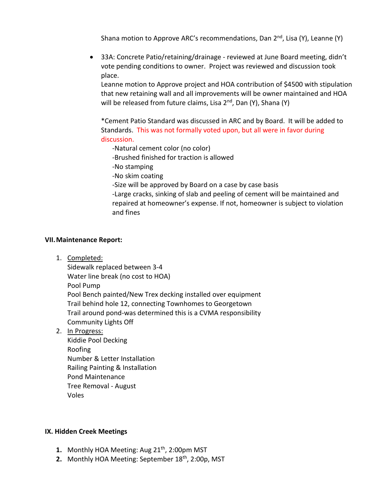Shana motion to Approve ARC's recommendations, Dan  $2^{nd}$ , Lisa (Y), Leanne (Y)

• 33A: Concrete Patio/retaining/drainage - reviewed at June Board meeting, didn't vote pending conditions to owner. Project was reviewed and discussion took place.

Leanne motion to Approve project and HOA contribution of \$4500 with stipulation that new retaining wall and all improvements will be owner maintained and HOA will be released from future claims, Lisa 2<sup>nd</sup>, Dan (Y), Shana (Y)

\*Cement Patio Standard was discussed in ARC and by Board. It will be added to Standards. This was not formally voted upon, but all were in favor during discussion.

-Natural cement color (no color)

-Brushed finished for traction is allowed

-No stamping

-No skim coating

-Size will be approved by Board on a case by case basis

-Large cracks, sinking of slab and peeling of cement will be maintained and repaired at homeowner's expense. If not, homeowner is subject to violation and fines

#### **VII.Maintenance Report:**

1. Completed:

Sidewalk replaced between 3-4 Water line break (no cost to HOA) Pool Pump Pool Bench painted/New Trex decking installed over equipment Trail behind hole 12, connecting Townhomes to Georgetown Trail around pond-was determined this is a CVMA responsibility Community Lights Off

2. In Progress:

Kiddie Pool Decking Roofing Number & Letter Installation Railing Painting & Installation Pond Maintenance Tree Removal - August Voles

#### **IX. Hidden Creek Meetings**

- **1.** Monthly HOA Meeting: Aug 21<sup>th</sup>, 2:00pm MST
- **2.** Monthly HOA Meeting: September 18<sup>th</sup>, 2:00p, MST